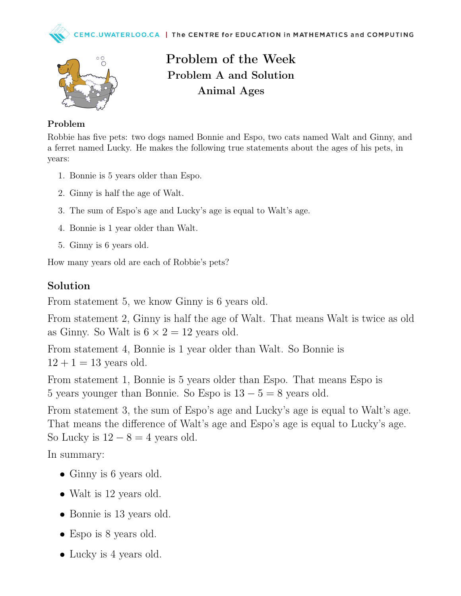



Problem of the Week Problem A and Solution Animal Ages

## Problem

Robbie has five pets: two dogs named Bonnie and Espo, two cats named Walt and Ginny, and a ferret named Lucky. He makes the following true statements about the ages of his pets, in years:

- 1. Bonnie is 5 years older than Espo.
- 2. Ginny is half the age of Walt.
- 3. The sum of Espo's age and Lucky's age is equal to Walt's age.
- 4. Bonnie is 1 year older than Walt.
- 5. Ginny is 6 years old.

How many years old are each of Robbie's pets?

## Solution

From statement 5, we know Ginny is 6 years old.

From statement 2, Ginny is half the age of Walt. That means Walt is twice as old as Ginny. So Walt is  $6 \times 2 = 12$  years old.

From statement 4, Bonnie is 1 year older than Walt. So Bonnie is  $12 + 1 = 13$  years old.

From statement 1, Bonnie is 5 years older than Espo. That means Espo is 5 years younger than Bonnie. So Espo is  $13 - 5 = 8$  years old.

From statement 3, the sum of Espo's age and Lucky's age is equal to Walt's age. That means the difference of Walt's age and Espo's age is equal to Lucky's age. So Lucky is  $12 - 8 = 4$  years old.

In summary:

- Ginny is 6 years old.
- Walt is 12 years old.
- Bonnie is 13 years old.
- Espo is 8 years old.
- Lucky is 4 years old.